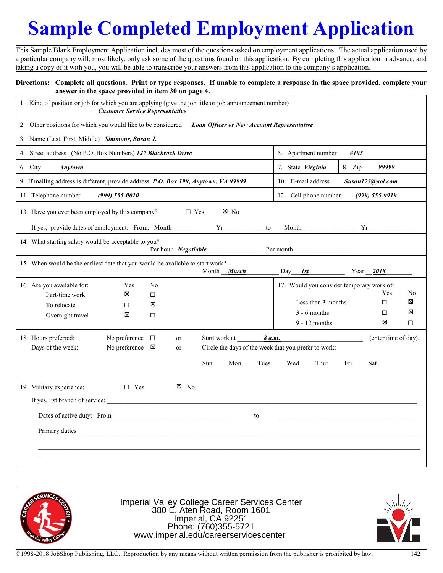## **Sample Completed Employment Application**

This Sample Blank Employment Application includes most of the questions asked on employment applications. The actual application used by a particular company will, most likely, only ask some of the questions found on this application. By completing this application in advance, and taking a copy of it with you, you will be able to transcribe your answers from this application to the company's application.

## **Directions: Complete all questions. Print or type responses. If unable to complete a response in the space provided, complete your answer in the space provided in item 30 on page 4.**

| 1. Kind of position or job for which you are applying (give the job title or job announcement number) | <b>Customer Service Representative</b> |                     |                |               |                                         |        |                                                      |        |                      |         |
|-------------------------------------------------------------------------------------------------------|----------------------------------------|---------------------|----------------|---------------|-----------------------------------------|--------|------------------------------------------------------|--------|----------------------|---------|
| 2. Other positions for which you would like to be considered                                          |                                        |                     |                |               |                                         |        | <b>Loan Officer or New Account Representative</b>    |        |                      |         |
| 3. Name (Last, First, Middle) Simmons, Susan J.                                                       |                                        |                     |                |               |                                         |        |                                                      |        |                      |         |
| 4. Street address (No P.O. Box Numbers) 127 Blackrock Drive                                           |                                        |                     |                |               | 5. Apartment number<br>#105             |        |                                                      |        |                      |         |
| 6. City<br><b>Anytown</b>                                                                             |                                        |                     |                |               |                                         |        | 7. State Virginia                                    | 8. Zip | 99999                |         |
| 9. If mailing address is different, provide address P.O. Box 199, Anytown, VA 99999                   |                                        |                     |                |               | 10. E-mail address<br>Susan123@aol.com  |        |                                                      |        |                      |         |
| 11. Telephone number<br>$(999)$ 555-0010                                                              |                                        |                     |                |               | 12. Cell phone number<br>(999) 555-9919 |        |                                                      |        |                      |         |
| 13. Have you ever been employed by this company?                                                      |                                        |                     | $\Box$ Yes     |               | ⊠ No                                    |        |                                                      |        |                      |         |
| Month                                                                                                 |                                        |                     |                |               |                                         |        |                                                      |        |                      |         |
| 14. What starting salary would be acceptable to you?                                                  |                                        |                     |                |               |                                         |        |                                                      |        |                      |         |
|                                                                                                       |                                        | Per hour Negotiable |                |               |                                         |        | Per month                                            |        |                      |         |
| 15. When would be the earliest date that you would be available to start work?                        |                                        |                     |                |               | Month March                             |        | Day<br>1st                                           |        | Year 2018            |         |
| 16. Are you available for:                                                                            | Yes                                    | N <sub>0</sub>      |                |               |                                         |        | 17. Would you consider temporary work of:            |        |                      |         |
| Part-time work                                                                                        | ⊠                                      | $\Box$              |                |               |                                         |        | Less than 3 months                                   |        | Yes<br>$\Box$        | No<br>⊠ |
| To relocate<br>Overnight travel                                                                       | □<br>⊠                                 | ⊠<br>$\Box$         |                |               |                                         |        | $3 - 6$ months                                       |        | □                    | ⊠       |
|                                                                                                       |                                        |                     |                |               |                                         |        | $9 - 12$ months                                      |        | ⊠                    | $\Box$  |
| 18. Hours preferred:                                                                                  | No preference                          | $\Box$              | or             | Start work at |                                         | 8 a.m. |                                                      |        | (enter time of day). |         |
| Days of the week:                                                                                     | No preference $\boxtimes$              |                     | or             |               |                                         |        | Circle the days of the week that you prefer to work: |        |                      |         |
|                                                                                                       |                                        |                     |                | Sun           | Mon                                     | Tues   | Wed<br>Thur                                          | Fri    | Sat                  |         |
| 19. Military experience:                                                                              | $\Box$ Yes                             |                     | $\boxtimes$ No |               |                                         |        |                                                      |        |                      |         |
| If yes, list branch of service:                                                                       |                                        |                     |                |               |                                         |        |                                                      |        |                      |         |
|                                                                                                       |                                        |                     |                |               |                                         | to     |                                                      |        |                      |         |
| Primary duties                                                                                        |                                        |                     |                |               |                                         |        |                                                      |        |                      |         |
|                                                                                                       |                                        |                     |                |               |                                         |        |                                                      |        |                      |         |
|                                                                                                       |                                        |                     |                |               |                                         |        |                                                      |        |                      |         |
|                                                                                                       |                                        |                     |                |               |                                         |        |                                                      |        |                      |         |



Imperial Valley College Career Services Center 380 E. Aten Road, Room 1601 Imperial, CA 92251 Phone: (760)355-5721 www.imperial.edu/careerservicescenter

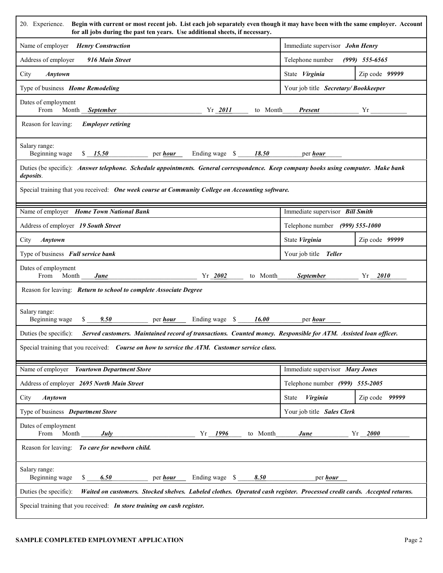| Begin with current or most recent job. List each job separately even though it may have been with the same employer. Account<br>20. Experience.<br>for all jobs during the past ten years. Use additional sheets, if necessary. |                                     |                  |  |  |  |
|---------------------------------------------------------------------------------------------------------------------------------------------------------------------------------------------------------------------------------|-------------------------------------|------------------|--|--|--|
| Name of employer Henry Construction                                                                                                                                                                                             | Immediate supervisor John Henry     |                  |  |  |  |
| Address of employer<br>916 Main Street                                                                                                                                                                                          | Telephone number (999) 555-6565     |                  |  |  |  |
| City<br>Anytown                                                                                                                                                                                                                 | State Virginia                      | Zip code 99999   |  |  |  |
| Type of business Home Remodeling                                                                                                                                                                                                | Your job title Secretary/Bookkeeper |                  |  |  |  |
| Dates of employment                                                                                                                                                                                                             |                                     |                  |  |  |  |
| Reason for leaving:<br><b>Employer retiring</b>                                                                                                                                                                                 |                                     |                  |  |  |  |
| Salary range:<br>Beginning wage \$15.50 per hour Ending wage \$18.50 per hour                                                                                                                                                   |                                     |                  |  |  |  |
| Duties (be specific): Answer telephone. Schedule appointments. General correspondence. Keep company books using computer. Make bank<br>deposits.                                                                                |                                     |                  |  |  |  |
| Special training that you received: One week course at Community College on Accounting software.                                                                                                                                |                                     |                  |  |  |  |
| Name of employer Home Town National Bank                                                                                                                                                                                        | Immediate supervisor Bill Smith     |                  |  |  |  |
| Address of employer 19 South Street                                                                                                                                                                                             | Telephone number (999) 555-1000     |                  |  |  |  |
| City <b>Anytown</b>                                                                                                                                                                                                             | State Virginia                      | Zip code $99999$ |  |  |  |
| Type of business Full service bank                                                                                                                                                                                              | Your job title Teller               |                  |  |  |  |
| Dates of employment<br>From Month <u>June</u> 1 and 1980 Vr 2002 to Month September 1 and 1981 Vr 2010                                                                                                                          |                                     |                  |  |  |  |
| Reason for leaving: Return to school to complete Associate Degree                                                                                                                                                               |                                     |                  |  |  |  |
| Salary range:<br>$\frac{\$ 9.50}{\$ 9.50}$ per <u>hour</u> Ending wage $\$ 16.00$ per hour<br>Beginning wage                                                                                                                    |                                     |                  |  |  |  |
| Duties (be specific): Served customers. Maintained record of transactions. Counted money. Responsible for ATM. Assisted loan officer.                                                                                           |                                     |                  |  |  |  |
| Special training that you received: Course on how to service the ATM. Customer service class.                                                                                                                                   |                                     |                  |  |  |  |
| Name of employer Yourtown Department Store                                                                                                                                                                                      | Immediate supervisor Mary Jones     |                  |  |  |  |
| Address of employer 2695 North Main Street                                                                                                                                                                                      | Telephone number (999) 555-2005     |                  |  |  |  |
| City<br>Anytown                                                                                                                                                                                                                 | Virginia<br>State                   | Zip code 99999   |  |  |  |
| Type of business Department Store<br>Your job title Sales Clerk                                                                                                                                                                 |                                     |                  |  |  |  |
| Dates of employment<br>From<br>Month<br>July<br>$Yr - 1996$<br>to Month<br>June<br>$Yr_{12000}$                                                                                                                                 |                                     |                  |  |  |  |
| Reason for leaving: To care for newborn child.                                                                                                                                                                                  |                                     |                  |  |  |  |
| Salary range:<br>Beginning wage<br>6.50<br>Ending wage \$<br>8.50<br>S.<br>per <i>hour</i>                                                                                                                                      | per <i>hour</i>                     |                  |  |  |  |
| Duties (be specific):<br>Waited on customers. Stocked shelves. Labeled clothes. Operated cash register. Processed credit cards. Accepted returns.                                                                               |                                     |                  |  |  |  |
| Special training that you received: In store training on cash register.                                                                                                                                                         |                                     |                  |  |  |  |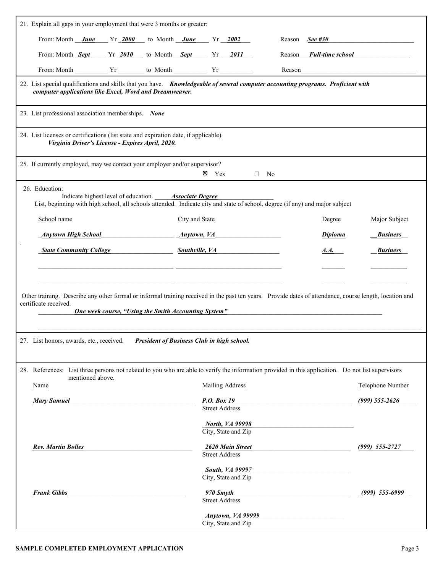| 21. Explain all gaps in your employment that were 3 months or greater:                                                                                                                                                                   |                                                                        |                                   |  |  |  |  |
|------------------------------------------------------------------------------------------------------------------------------------------------------------------------------------------------------------------------------------------|------------------------------------------------------------------------|-----------------------------------|--|--|--|--|
| From: Month $June \qquad Yr \_2000 \qquad$ to Month $June \qquad Yr \_2002$                                                                                                                                                              |                                                                        | Reason See #30                    |  |  |  |  |
| From: Month <i>Sept</i> Yr 2010 to Month <i>Sept</i> Yr 2011                                                                                                                                                                             |                                                                        | Reason <i>Full-time school</i>    |  |  |  |  |
| From: Month $\begin{array}{c c}\n\hline\n\end{array} Yr \begin{array}{c}\hline\n\end{array}$ to Month $\begin{array}{c}\n\hline\n\end{array} Yr \begin{array}{c}\n\hline\n\end{array}$                                                   |                                                                        | Reason                            |  |  |  |  |
| 22. List special qualifications and skills that you have. Knowledgeable of several computer accounting programs. Proficient with<br>computer applications like Excel, Word and Dreamweaver.                                              |                                                                        |                                   |  |  |  |  |
| 23. List professional association memberships. None                                                                                                                                                                                      |                                                                        |                                   |  |  |  |  |
| 24. List licenses or certifications (list state and expiration date, if applicable).<br>Virginia Driver's License - Expires April, 2020.                                                                                                 |                                                                        |                                   |  |  |  |  |
| 25. If currently employed, may we contact your employer and/or supervisor?                                                                                                                                                               | $\boxtimes$ Yes<br>No.<br>$\Box$                                       |                                   |  |  |  |  |
| 26. Education:<br>Indicate highest level of education. Associate Degree<br>List, beginning with high school, all schools attended. Indicate city and state of school, degree (if any) and major subject                                  |                                                                        |                                   |  |  |  |  |
| School name                                                                                                                                                                                                                              | City and State                                                         | Major Subject<br>Degree           |  |  |  |  |
| <b>Anytown High School</b>                                                                                                                                                                                                               | <u>Anytown, VA</u>                                                     | <b>Diploma</b><br><b>Business</b> |  |  |  |  |
| <b>State Community College</b>                                                                                                                                                                                                           | Southville, VA Southwille                                              | <b>Business</b><br>A.A.           |  |  |  |  |
|                                                                                                                                                                                                                                          |                                                                        |                                   |  |  |  |  |
| Other training. Describe any other formal or informal training received in the past ten years. Provide dates of attendance, course length, location and<br>certificate received.<br>One week course, "Using the Smith Accounting System" |                                                                        |                                   |  |  |  |  |
| 27. List honors, awards, etc., received.                                                                                                                                                                                                 | President of Business Club in high school.                             |                                   |  |  |  |  |
| 28. References: List three persons not related to you who are able to verify the information provided in this application. Do not list supervisors                                                                                       |                                                                        |                                   |  |  |  |  |
| mentioned above.<br>Name                                                                                                                                                                                                                 | <b>Mailing Address</b>                                                 | Telephone Number                  |  |  |  |  |
| <b>Mary Samuel</b>                                                                                                                                                                                                                       | P.O. Box 19                                                            | $(999) 555 - 2626$                |  |  |  |  |
|                                                                                                                                                                                                                                          | <b>Street Address</b><br><b>North, VA 99998</b><br>City, State and Zip |                                   |  |  |  |  |
| <b>Rev. Martin Bolles</b>                                                                                                                                                                                                                | 2620 Main Street<br>Street Address                                     | $(999)$ 555-2727                  |  |  |  |  |
|                                                                                                                                                                                                                                          | <b>South, VA 99997</b><br>City, State and Zip                          |                                   |  |  |  |  |
| <b>Frank Gibbs</b>                                                                                                                                                                                                                       | 970 Smyth<br><b>Street Address</b>                                     | $(999)$ 555-6999                  |  |  |  |  |
|                                                                                                                                                                                                                                          | <b>Anytown, VA 99999</b><br>City, State and Zip                        |                                   |  |  |  |  |